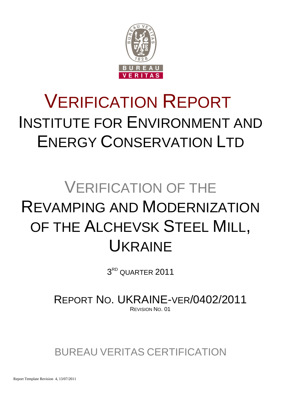

# VERIFICATION REPORT INSTITUTE FOR ENVIRONMENT AND ENERGY CONSERVATION LTD

# VERIFICATION OF THE REVAMPING AND MODERNIZATION OF THE ALCHEVSK STEEL MILL, UKRAINE

 $3^{\text{\tiny RD}}$  QUARTER  $2011$ 

REPORT NO. UKRAINE-VER/0402/2011 REVISION NO. 01

BUREAU VERITAS CERTIFICATION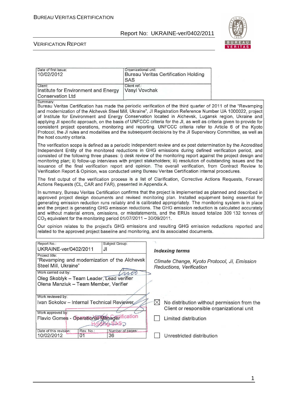

#### VERIFICATION REPORT

| Date of first issue:<br>10/02/2012                                                                                                                                                                                                                                                                                                                                                                                                                                                                                                                                                                                                                                                                                                                                                                                                            | Organizational unit:<br><b>Bureau Veritas Certification Holding</b><br>SAS |                                              |  |  |  |
|-----------------------------------------------------------------------------------------------------------------------------------------------------------------------------------------------------------------------------------------------------------------------------------------------------------------------------------------------------------------------------------------------------------------------------------------------------------------------------------------------------------------------------------------------------------------------------------------------------------------------------------------------------------------------------------------------------------------------------------------------------------------------------------------------------------------------------------------------|----------------------------------------------------------------------------|----------------------------------------------|--|--|--|
| Client:<br>Institute for Environment and Energy<br><b>Conservation Ltd</b>                                                                                                                                                                                                                                                                                                                                                                                                                                                                                                                                                                                                                                                                                                                                                                    | Client ref.:<br>Vasyl Vovchak                                              |                                              |  |  |  |
| Summary:<br>Bureau Veritas Certification has made the periodic verification of the third quarter of 2011 of the "Revamping<br>and modernization of the Alchevsk Steel Mill, Ukraine", JI Registration Reference Number UA 1000022, project<br>of Institute for Environment and Energy Conservation located in Alchevsk, Lugansk region, Ukraine and<br>applying JI specific approach, on the basis of UNFCCC criteria for the JI, as well as criteria given to provide for<br>consistent project operations, monitoring and reporting. UNFCCC criteria refer to Article 6 of the Kyoto<br>Protocol, the JI rules and modalities and the subsequent decisions by the JI Supervisory Committee, as well as<br>the host country criteria.                                                                                                        |                                                                            |                                              |  |  |  |
| The verification scope is defined as a periodic independent review and ex post determination by the Accredited<br>Independent Entity of the monitored reductions in GHG emissions during defined verification period, and<br>consisted of the following three phases: i) desk review of the monitoring report against the project design and<br>monitoring plan; ii) follow-up interviews with project stakeholders; iii) resolution of outstanding issues and the<br>issuance of the final verification report and opinion. The overall verification, from Contract Review to<br>Verification Report & Opinion, was conducted using Bureau Veritas Certification internal procedures.                                                                                                                                                        |                                                                            |                                              |  |  |  |
| The first output of the verification process is a list of Clarification, Corrective Actions Requests, Forward<br>Actions Requests (CL, CAR and FAR), presented in Appendix A.                                                                                                                                                                                                                                                                                                                                                                                                                                                                                                                                                                                                                                                                 |                                                                            |                                              |  |  |  |
| In summary, Bureau Veritas Certification confirms that the project is implemented as planned and described in<br>approved project design documents and revised monitoring plan. Installed equipment being essential for<br>generating emission reduction runs reliably and is calibrated appropriately. The monitoring system is in place<br>and the project is generating GHG emission reductions. The GHG emission reduction is calculated accurately<br>and without material errors, omissions, or misstatements, and the ERUs issued totalize 309 132 tonnes of<br>$CO2$ equivalent for the monitoring period 01/07/2011 - 30/09/2011.<br>Our opinion relates to the project's GHG emissions and resulting GHG emission reductions reported and<br>related to the approved project baseline and monitoring, and its associated documents. |                                                                            |                                              |  |  |  |
| Report No.:<br>Subject Group:<br>UKRAINE-ver/0402/2011<br>JI                                                                                                                                                                                                                                                                                                                                                                                                                                                                                                                                                                                                                                                                                                                                                                                  | <b>Indexing terms</b>                                                      |                                              |  |  |  |
| Project title:<br>"Revamping and modernization of the Alchevsk<br>Steel Mill, Ukraine"                                                                                                                                                                                                                                                                                                                                                                                                                                                                                                                                                                                                                                                                                                                                                        | Reductions, Verification                                                   | Climate Change, Kyoto Protocol, JI, Emission |  |  |  |
| Work carried out by:<br>Oleg Skoblyk - Team Leader, Lead verifier<br>Olena Manziuk - Team Member, Verifier                                                                                                                                                                                                                                                                                                                                                                                                                                                                                                                                                                                                                                                                                                                                    | $\triangle$ foo                                                            |                                              |  |  |  |
| Work reviewed by:<br>Ivan Sokolov - Internal Technical Reviewer                                                                                                                                                                                                                                                                                                                                                                                                                                                                                                                                                                                                                                                                                                                                                                               | $\boxtimes$                                                                | No distribution without permission from the  |  |  |  |
| Work approved by:                                                                                                                                                                                                                                                                                                                                                                                                                                                                                                                                                                                                                                                                                                                                                                                                                             |                                                                            | Client or responsible organizational unit    |  |  |  |
| Flavio Gomes - Operational Managerification<br>HOLOMOSASO                                                                                                                                                                                                                                                                                                                                                                                                                                                                                                                                                                                                                                                                                                                                                                                     | Limited distribution                                                       |                                              |  |  |  |
| Date of this revision:<br>Rev. No.:<br>Number of pages:<br>10/02/2012                                                                                                                                                                                                                                                                                                                                                                                                                                                                                                                                                                                                                                                                                                                                                                         |                                                                            |                                              |  |  |  |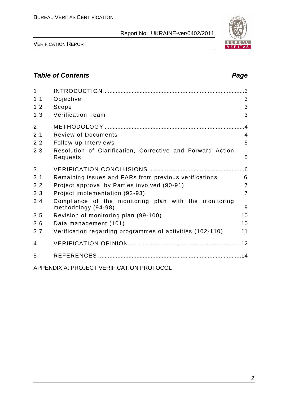

#### **Table of Contents Page 2014**

| $\mathbf{1}$   |                                                                              |                |
|----------------|------------------------------------------------------------------------------|----------------|
| 1.1            | Objective                                                                    | 3              |
| 1.2            | Scope                                                                        | 3              |
| 1.3            | <b>Verification Team</b>                                                     | 3              |
| $\overline{2}$ |                                                                              |                |
| 2.1            | <b>Review of Documents</b>                                                   | $\overline{4}$ |
| 2.2            | Follow-up Interviews                                                         | 5              |
| 2.3            | Resolution of Clarification, Corrective and Forward Action<br>Requests       | 5              |
| 3              |                                                                              |                |
| 3.1            | Remaining issues and FARs from previous verifications                        | 6              |
| 3.2            | Project approval by Parties involved (90-91)                                 | $\overline{7}$ |
| 3.3            | Project implementation (92-93)                                               | $\overline{7}$ |
| 3.4            | Compliance of the monitoring plan with the monitoring<br>methodology (94-98) | 9              |
| 3.5            | Revision of monitoring plan (99-100)                                         | 10             |
| 3.6            | Data management (101)                                                        | 10             |
| 3.7            | Verification regarding programmes of activities (102-110)                    | 11             |
| 4              |                                                                              |                |
| 5              |                                                                              |                |
|                | ADDENDIV A. DDO IECT VEDIEICATION DDOTOCOL                                   |                |

APPENDIX A: PROJECT VERIFICATION PROTOCOL

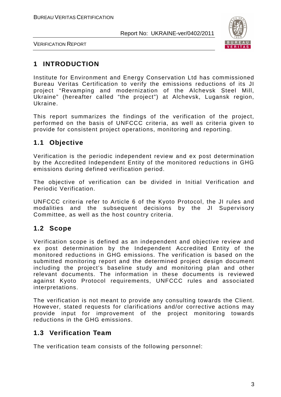

VERIFICATION REPORT

# **1 INTRODUCTION**

Institute for Environment and Energy Conservation Ltd has commissioned Bureau Veritas Certification to verify the emissions reductions of its JI project "Revamping and modernization of the Alchevsk Steel Mill, Ukraine" (hereafter called "the project") at Alchevsk, Lugansk region, Ukraine.

This report summarizes the findings of the verification of the project, performed on the basis of UNFCCC criteria, as well as criteria given to provide for consistent project operations, monitoring and reporting.

# **1.1 Objective**

Verification is the periodic independent review and ex post determination by the Accredited Independent Entity of the monitored reductions in GHG emissions during defined verification period.

The objective of verification can be divided in Initial Verification and Periodic Verification.

UNFCCC criteria refer to Article 6 of the Kyoto Protocol, the JI rules and modalities and the subsequent decisions by the JI Supervisory Committee, as well as the host country criteria.

# **1.2 Scope**

Verification scope is defined as an independent and objective review and ex post determination by the Independent Accredited Entity of the monitored reductions in GHG emissions. The verification is based on the submitted monitoring report and the determined project design document including the project's baseline study and monitoring plan and other relevant documents. The information in these documents is reviewed against Kyoto Protocol requirements, UNFCCC rules and associated interpretations.

The verification is not meant to provide any consulting towards the Client. However, stated requests for clarifications and/or corrective actions may provide input for improvement of the project monitoring towards reductions in the GHG emissions.

#### **1.3 Verification Team**

The verification team consists of the following personnel: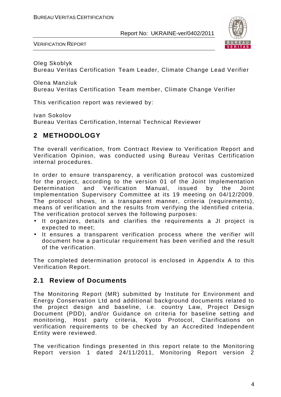

VERIFICATION REPORT

Oleg Skoblyk Bureau Veritas Certification Team Leader, Climate Change Lead Verifier

Olena Manziuk Bureau Veritas Certification Team member, Climate Change Verifier

This verification report was reviewed by:

Ivan Sokolov Bureau Veritas Certification, Internal Technical Reviewer

# **2 METHODOLOGY**

The overall verification, from Contract Review to Verification Report and Verification Opinion, was conducted using Bureau Veritas Certification internal procedures.

In order to ensure transparency, a verification protocol was customized for the project, according to the version 01 of the Joint Implementation Determination and Verification Manual, issued by the Joint Implementation Supervisory Committee at its 19 meeting on 04/12/2009. The protocol shows, in a transparent manner, criteria (requirements), means of verification and the results from verifying the identified criteria. The verification protocol serves the following purposes:

- It organizes, details and clarifies the requirements a JI project is expected to meet;
- It ensures a transparent verification process where the verifier will document how a particular requirement has been verified and the result of the verification.

The completed determination protocol is enclosed in Appendix A to this Verification Report.

#### **2.1 Review of Documents**

The Monitoring Report (MR) submitted by Institute for Environment and Energy Conservation Ltd and additional background documents related to the project design and baseline, i.e. country Law, Project Design Document (PDD), and/or Guidance on criteria for baseline setting and monitoring, Host party criteria, Kyoto Protocol, Clarifications on verification requirements to be checked by an Accredited Independent Entity were reviewed.

The verification findings presented in this report relate to the Monitoring Report version 1 dated 24/11/2011, Monitoring Report version 2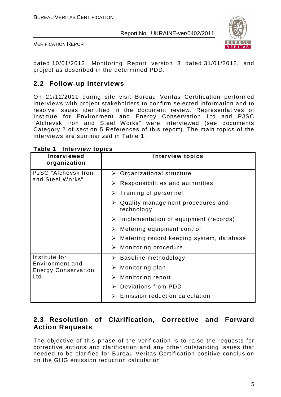

VERIFICATION REPORT

dated 10/01/2012, Monitoring Report version 3 dated 31/01/2012, and project as described in the determined PDD.

# **2.2 Follow-up Interviews**

On 21/12/2011 during site visit Bureau Veritas Certification performed interviews with project stakeholders to confirm selected information and to resolve issues identified in the document review. Representatives of Institute for Environment and Energy Conservation Ltd and PJSC "Alchevsk Iron and Steel Works" were interviewed (see documents Category 2 of section 5 References of this report). The main topics of the interviews are summarized in Table 1.

| <b>Interviewed</b><br>organization            | <b>Interview topics</b>                                          |
|-----------------------------------------------|------------------------------------------------------------------|
| PJSC "Alchevsk Iron                           | $\triangleright$ Organizational structure                        |
| and Steel Works"                              | $\triangleright$ Responsibilities and authorities                |
|                                               | Training of personnel<br>➤                                       |
|                                               | $\triangleright$ Quality management procedures and<br>technology |
|                                               | $\triangleright$ Implementation of equipment (records)           |
|                                               | $\triangleright$ Metering equipment control                      |
|                                               | $\triangleright$ Metering record keeping system, database        |
|                                               | $\triangleright$ Monitoring procedure                            |
| Institute for                                 | $\triangleright$ Baseline methodology                            |
| Environment and<br><b>Energy Conservation</b> | Monitoring plan<br>➤                                             |
| Ltd.                                          | $\triangleright$ Monitoring report                               |
|                                               | > Deviations from PDD                                            |
|                                               | <b>Emission reduction calculation</b><br>$\blacktriangleright$   |

**Table 1 Interview topics** 

### **2.3 Resolution of Clarification, Corrective and Forward Action Requests**

The objective of this phase of the verification is to raise the requests for corrective actions and clarification and any other outstanding issues that needed to be clarified for Bureau Veritas Certification positive conclusion on the GHG emission reduction calculation.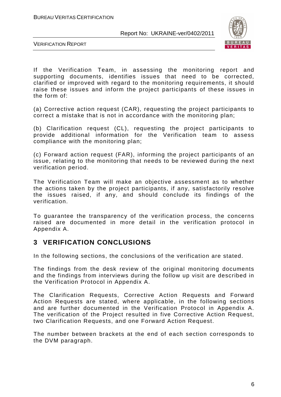

VERIFICATION REPORT

If the Verification Team, in assessing the monitoring report and supporting documents, identifies issues that need to be corrected, clarified or improved with regard to the monitoring requirements, it should raise these issues and inform the project participants of these issues in the form of:

(a) Corrective action request (CAR), requesting the project participants to correct a mistake that is not in accordance with the monitoring plan;

(b) Clarification request (CL), requesting the project participants to provide additional information for the Verification team to assess compliance with the monitoring plan;

(c) Forward action request (FAR), informing the project participants of an issue, relating to the monitoring that needs to be reviewed during the next verification period.

The Verification Team will make an objective assessment as to whether the actions taken by the project participants, if any, satisfactorily resolve the issues raised, if any, and should conclude its findings of the verification.

To guarantee the transparency of the verification process, the concerns raised are documented in more detail in the verification protocol in Appendix A.

#### **3 VERIFICATION CONCLUSIONS**

In the following sections, the conclusions of the verification are stated.

The findings from the desk review of the original monitoring documents and the findings from interviews during the follow up visit are described in the Verification Protocol in Appendix A.

The Clarification Requests, Corrective Action Requests and Forward Action Requests are stated, where applicable, in the following sections and are further documented in the Verification Protocol in Appendix A. The verification of the Project resulted in five Corrective Action Request, two Clarification Requests, and one Forward Action Request.

The number between brackets at the end of each section corresponds to the DVM paragraph.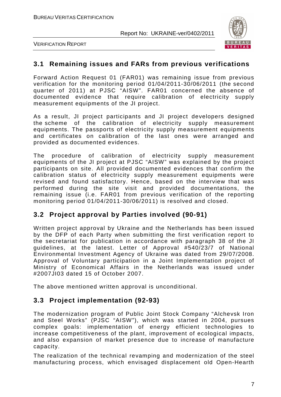

VERIFICATION REPORT

#### **3.1 Remaining issues and FARs from previous verifications**

Forward Action Request 01 (FAR01) was remaining issue from previous verification for the monitoring period 01/04/2011-30/06/2011 (the second quarter of 2011) at PJSC "AISW". FAR01 concerned the absence of documented evidence that require calibration of electricity supply measurement equipments of the JI project.

As a result, JI project participants and JI project developers designed the scheme of the calibration of electricity supply measurement equipments. The passports of electricity supply measurement equipments and certificates on calibration of the last ones were arranged and provided as documented evidences.

The procedure of calibration of electricity supply measurement equipments of the JI project at PJSC "AISW" was explained by the project participants on site. All provided documented evidences that confirm the calibration status of electricity supply measurement equipments were revised and found satisfactory. Hence, based on the interview that was performed during the site visit and provided documentations, the remaining issue (i.e. FAR01 from previous verification of the reporting monitoring period 01/04/2011-30/06/2011) is resolved and closed.

# **3.2 Project approval by Parties involved (90-91)**

Written project approval by Ukraine and the Netherlands has been issued by the DFP of each Party when submitting the first verification report to the secretariat for publication in accordance with paragraph 38 of the JI guidelines, at the latest. Letter of Approval #540/23/7 of National Environmental Investment Agency of Ukraine was dated from 29/07/2008. Approval of Voluntary participation in a Joint Implementation project of Ministry of Economical Affairs in the Netherlands was issued under #2007JI03 dated 15 of October 2007.

The above mentioned written approval is unconditional.

#### **3.3 Project implementation (92-93)**

The modernization program of Public Joint Stock Company "Alchevsk Iron and Steel Works" (PJSC "AISW"), which was started in 2004, pursues complex goals: implementation of energy efficient technologies to increase competitiveness of the plant, improvement of ecological impacts, and also expansion of market presence due to increase of manufacture capacity.

The realization of the technical revamping and modernization of the steel manufacturing process, which envisaged displacement old Open-Hearth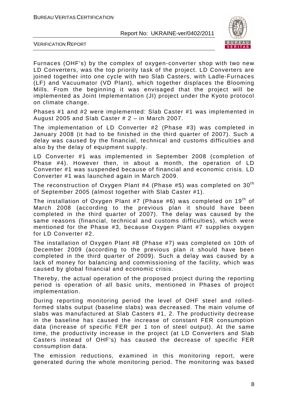

VERIFICATION REPORT

Furnaces (OHF's) by the complex of oxygen-converter shop with two new LD Converters, was the top priority task of the project. LD Converters are joined together into one cycle with two Slab Casters, with Ladle-Furnaces (LF) and Vacuumator (VD Plant), which together displaces the Blooming Mills. From the beginning it was envisaged that the project will be implemented as Joint Implementation (JI) project under the Kyoto protocol on climate change.

Phases #1 and #2 were implemented: Slab Caster #1 was implemented in August 2005 and Slab Caster # 2 – in March 2007.

The implementation of LD Converter #2 (Phase #3) was completed in January 2008 (it had to be finished in the third quarter of 2007). Such a delay was caused by the financial, technical and customs difficulties and also by the delay of equipment supply.

LD Converter #1 was implemented in September 2008 (completion of Phase #4). However then, in about a month, the operation of LD Converter #1 was suspended because of financial and economic crisis. LD Converter #1 was launched again in March 2009.

The reconstruction of Oxygen Plant #4 (Phase #5) was completed on  $30<sup>th</sup>$ of September 2005 (almost together with Slab Caster #1).

The installation of Oxygen Plant #7 (Phase #6) was completed on  $19<sup>th</sup>$  of March 2008 (according to the previous plan it should have been completed in the third quarter of 2007). The delay was caused by the same reasons (financial, technical and customs difficulties), which were mentioned for the Phase #3, because Oxygen Plant #7 supplies oxygen for LD Converter #2.

The installation of Oxygen Plant #8 (Phase #7) was completed on 10th of December 2009 (according to the previous plan it should have been completed in the third quarter of 2009). Such a delay was caused by a lack of money for balancing and commissioning of the facility, which was caused by global financial and economic crisis.

Thereby, the actual operation of the proposed project during the reporting period is operation of all basic units, mentioned in Phases of project implementation.

During reporting monitoring period the level of OHF steel and rolledformed slabs output (baseline slabs) was decreased. The main volume of slabs was manufactured at Slab Casters #1, 2. The productivity decrease in the baseline has caused the increase of constant FER consumption data (increase of specific FER per 1 ton of steel output). At the same time, the productivity increase in the project (at LD Converters and Slab Casters instead of OHF's) has caused the decrease of specific FER consumption data.

The emission reductions, examined in this monitoring report, were generated during the whole monitoring period. The monitoring was based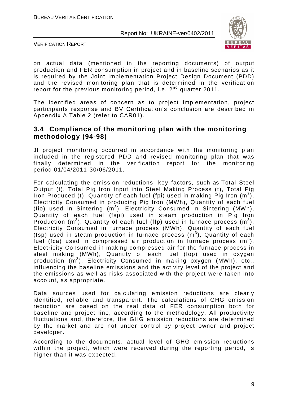

VERIFICATION REPORT

on actual data (mentioned in the reporting documents) of output production and FER consumption in project and in baseline scenarios as it is required by the Joint Implementation Project Design Document (PDD) and the revised monitoring plan that is determined in the verification report for the previous monitoring period, i.e.  $2^{nd}$  quarter 2011.

The identified areas of concern as to project implementation, project participants response and BV Certification's conclusion are described in Appendix A Table 2 (refer to CAR01).

#### **3.4 Compliance of the monitoring plan with the monitoring methodology (94-98)**

JI project monitoring occurred in accordance with the monitoring plan included in the registered PDD and revised monitoring plan that was finally determined in the verification report for the monitoring period 01/04/2011-30/06/2011.

For calculating the emission reductions, key factors, such as Total Steel Output (t), Total Pig Iron Input into Steel Making Process (t), Total Pig Iron Produced (t), Quantity of each fuel (fpi) used in making Pig Iron  $(m^3)$ , Electricity Consumed in producing Pig Iron (MWh), Quantity of each fuel (fio) used in Sintering  $(m^3)$ , Electricity Consumed in Sintering (MWh), Quantity of each fuel (fspi) used in steam production in Pig Iron Production (m<sup>3</sup>), Quantity of each fuel (ffp) used in furnace process (m<sup>3</sup>), Electricity Consumed in furnace process (MWh), Quantity of each fuel (fsp) used in steam production in furnace process  $(m^3)$ , Quantity of each fuel (fca) used in compressed air production in furnace process  $(m^3)$ , Electricity Consumed in making compressed air for the furnace process in steel making (MWh), Quantity of each fuel (fop) used in oxygen production (m<sup>3</sup>), Electricity Consumed in making oxygen (MWh), etc., influencing the baseline emissions and the activity level of the project and the emissions as well as risks associated with the project were taken into account, as appropriate.

Data sources used for calculating emission reductions are clearly identified, reliable and transparent. The calculations of GHG emission reduction are based on the real data of FER consumption both for baseline and project line, according to the methodology. All productivity fluctuations and, therefore, the GHG emission reductions are determined by the market and are not under control by project owner and project developer**.** 

According to the documents, actual level of GHG emission reductions within the project, which were received during the reporting period, is higher than it was expected.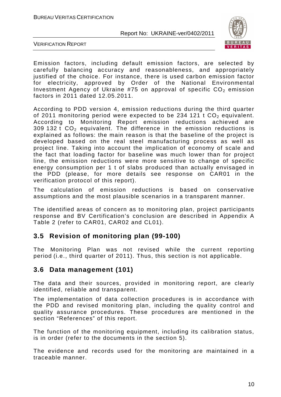

VERIFICATION REPORT

Emission factors, including default emission factors, are selected by carefully balancing accuracy and reasonableness, and appropriately justified of the choice. For instance, there is used carbon emission factor for electricity, approved by Order of the National Environmental Investment Agency of Ukraine #75 on approval of specific  $CO<sub>2</sub>$  emission factors in 2011 dated 12.05.2011.

According to PDD version 4, emission reductions during the third quarter of 2011 monitoring period were expected to be 234 121 t  $CO<sub>2</sub>$  equivalent. According to Monitoring Report emission reductions achieved are 309 132 t  $CO<sub>2</sub>$  equivalent. The difference in the emission reductions is explained as follows: the main reason is that the baseline of the project is developed based on the real steel manufacturing process as well as project line. Taking into account the implication of economy of scale and the fact that loading factor for baseline was much lower than for project line, the emission reductions were more sensitive to change of specific energy consumption per 1 t of slabs produced than actually envisaged in the PDD (please, for more details see response on CAR01 in the verification protocol of this report).

The calculation of emission reductions is based on conservative assumptions and the most plausible scenarios in a transparent manner.

The identified areas of concern as to monitoring plan, project participants response and BV Certification's conclusion are described in Appendix A Table 2 (refer to CAR01, CAR02 and CL01).

#### **3.5 Revision of monitoring plan (99-100)**

The Monitoring Plan was not revised while the current reporting period (i.e., third quarter of 2011). Thus, this section is not applicable.

#### **3.6 Data management (101)**

The data and their sources, provided in monitoring report, are clearly identified, reliable and transparent.

The implementation of data collection procedures is in accordance with the PDD and revised monitoring plan, including the quality control and quality assurance procedures. These procedures are mentioned in the section "References" of this report.

The function of the monitoring equipment, including its calibration status, is in order (refer to the documents in the section 5).

The evidence and records used for the monitoring are maintained in a traceable manner.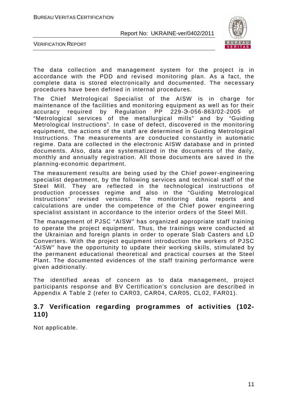

VERIFICATION REPORT

The data collection and management system for the project is in accordance with the PDD and revised monitoring plan. As a fact, the complete data is stored electronically and documented. The necessary procedures have been defined in internal procedures.

The Chief Metrological Specialist of the AISW is in charge for maintenance of the facilities and monitoring equipment as well as for their accuracy required by Regulation PP 229-Э-056-863/02-2005 of "Metrological services of the metallurgical mills" and by "Guiding Metrological Instructions". In case of defect, discovered in the monitoring equipment, the actions of the staff are determined in Guiding Metrological Instructions. The measurements are conducted constantly in automatic regime. Data are collected in the electronic AISW database and in printed documents. Also, data are systematized in the documents of the daily, monthly and annually registration. All those documents are saved in the planning-economic department.

The measurement results are being used by the Chief power-engineering specialist department, by the following services and technical staff of the Steel Mill. They are reflected in the technological instructions of production processes regime and also in the "Guiding Metrological Instructions" revised versions. The monitoring data reports and calculations are under the competence of the Chief power engineering specialist assistant in accordance to the interior orders of the Steel Mill.

The management of PJSC "AISW" has organized appropriate staff training to operate the project equipment. Thus, the trainings were conducted at the Ukrainian and foreign plants in order to operate Slab Casters and LD Converters. With the project equipment introduction the workers of PJSC "AISW" have the opportunity to update their working skills, stimulated by the permanent educational theoretical and practical courses at the Steel Plant. The documented evidences of the staff training performance were given additionally.

The identified areas of concern as to data management, project participants response and BV Certification's conclusion are described in Appendix A Table 2 (refer to CAR03, CAR04, CAR05, CL02, FAR01).

#### **3.7 Verification regarding programmes of activities (102- 110)**

Not applicable.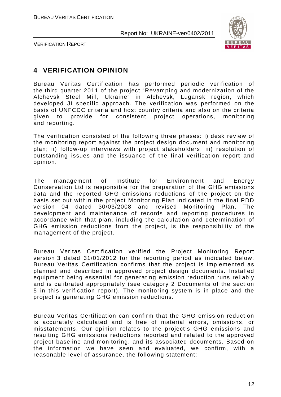

VERIFICATION REPORT

# **4 VERIFICATION OPINION**

Bureau Veritas Certification has performed periodic verification of the third quarter 2011 of the project "Revamping and modernization of the Alchevsk Steel Mill, Ukraine" in Alchevsk, Lugansk region, which developed JI specific approach. The verification was performed on the basis of UNFCCC criteria and host country criteria and also on the criteria given to provide for consistent project operations, monitoring and reporting.

The verification consisted of the following three phases: i) desk review of the monitoring report against the project design document and monitoring plan; ii) follow-up interviews with project stakeholders; iii) resolution of outstanding issues and the issuance of the final verification report and opinion.

The management of Institute for Environment and Energy Conservation Ltd is responsible for the preparation of the GHG emissions data and the reported GHG emissions reductions of the project on the basis set out within the project Monitoring Plan indicated in the final PDD version 04 dated 30/03/2008 and revised Monitoring Plan. The development and maintenance of records and reporting procedures in accordance with that plan, including the calculation and determination of GHG emission reductions from the project, is the responsibility of the management of the project.

Bureau Veritas Certification verified the Project Monitoring Report version 3 dated 31/01/2012 for the reporting period as indicated below. Bureau Veritas Certification confirms that the project is implemented as planned and described in approved project design documents. Installed equipment being essential for generating emission reduction runs reliably and is calibrated appropriately (see category 2 Documents of the section 5 in this verification report). The monitoring system is in place and the project is generating GHG emission reductions.

Bureau Veritas Certification can confirm that the GHG emission reduction is accurately calculated and is free of material errors, omissions, or misstatements. Our opinion relates to the project's GHG emissions and resulting GHG emissions reductions reported and related to the approved project baseline and monitoring, and its associated documents. Based on the information we have seen and evaluated, we confirm, with a reasonable level of assurance, the following statement: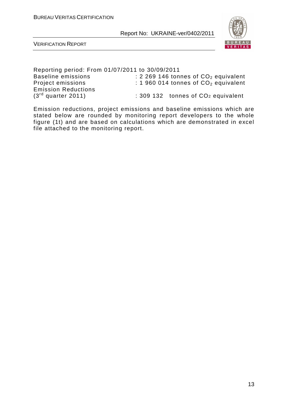

VERIFICATION REPORT

| Reporting period: From 01/07/2011 to 30/09/2011 |                                                |
|-------------------------------------------------|------------------------------------------------|
| <b>Baseline emissions</b>                       | : 2 269 146 tonnes of $CO2$ equivalent         |
| Project emissions                               | : 1 960 014 tonnes of $CO2$ equivalent         |
| <b>Emission Reductions</b>                      |                                                |
| $(3rd$ quarter 2011)                            | : 309 132 tonnes of CO <sub>2</sub> equivalent |

Emission reductions, project emissions and baseline emissions which are stated below are rounded by monitoring report developers to the whole figure (1t) and are based on calculations which are demonstrated in excel file attached to the monitoring report.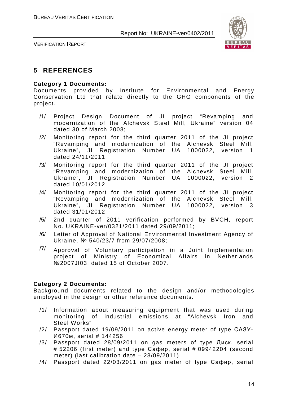

VERIFICATION REPORT

### **5 REFERENCES**

#### **Category 1 Documents:**

Documents provided by Institute for Environmental and Energy Conservation Ltd that relate directly to the GHG components of the project.

- /1/ Project Design Document of JI project "Revamping and modernization of the Alchevsk Steel Mill, Ukraine" version 04 dated 30 of March 2008;
- /2/ Monitoring report for the third quarter 2011 of the JI project "Revamping and modernization of the Alchevsk Steel Mill, Ukraine", JI Registration Number UA 1000022, version 1 dated 24/11/2011;
- /3/ Monitoring report for the third quarter 2011 of the JI project "Revamping and modernization of the Alchevsk Steel Mill, Ukraine", JI Registration Number UA 1000022, version 2 dated 10/01/2012;
- /4/ Monitoring report for the third quarter 2011 of the JI project "Revamping and modernization of the Alchevsk Steel Mill, Ukraine", JI Registration Number UA 1000022, version 3 dated 31/01/2012;
- /5/ 2nd quarter of 2011 verification performed by BVCH, report No. UKRAINE-ver/0321/2011 dated 29/09/2011;
- /6/ Letter of Approval of National Environmental Investment Agency of Ukraine, № 540/23/7 from 29/07/2008;
- $\frac{77}{10}$  Approval of Voluntary participation in a Joint Implementation project of Ministry of Economical Affairs in Netherlands №2007JI03, dated 15 of October 2007.

#### **Category 2 Documents:**

Background documents related to the design and/or methodologies employed in the design or other reference documents.

- /1/ Information about measuring equipment that was used during monitoring of industrial emissions at "Alchevsk Iron and Steel Works"
- /2/ Passport dated 19/09/2011 on active energy meter of type САЗУ-И670м, serial # 144256
- /3/ Passport dated 28/09/2011 on gas meters of type Диск, serial # 52206 (first meter) and type Сафир, serial # 09942204 (second meter) (last calibration date – 28/09/2011)
- /4/ Passport dated 22/03/2011 on gas meter of type Сафир, serial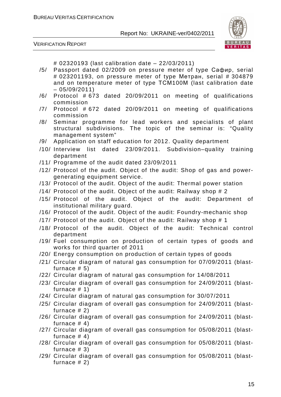

VERIFICATION REPORT

# 02320193 (last calibration date – 22/03/2011)

- /5/ Passport dated 02/2009 on pressure meter of type Сафир, serial # 023201193, on pressure meter of type Метран, serial # 304879 and on temperature meter of type ТСМ100М (last calibration date – 05/09/2011)
- /6/ Protocol # 673 dated 20/09/2011 on meeting of qualifications commission
- /7/ Protocol # 672 dated 20/09/2011 on meeting of qualifications commission
- /8/ Seminar programme for lead workers and specialists of plant structural subdivisions. The topic of the seminar is: "Quality management system"
- /9/ Application on staff education for 2012. Quality department
- /10/ Interview list dated 23/09/2011. Subdivision–quality training department
- /11/ Programme of the audit dated 23/09/2011
- /12/ Protocol of the audit. Object of the audit: Shop of gas and powergenerating equipment service.
- /13/ Protocol of the audit. Object of the audit: Thermal power station
- /14/ Protocol of the audit. Object of the audit: Railway shop # 2
- /15/ Protocol of the audit. Object of the audit: Department of institutional military guard.
- /16/ Protocol of the audit. Object of the audit: Foundry-mechanic shop
- /17/ Protocol of the audit. Object of the audit: Railway shop # 1
- /18/ Protocol of the audit. Object of the audit: Technical control department
- /19/ Fuel consumption on production of certain types of goods and works for third quarter of 2011
- /20/ Energy consumption on production of certain types of goods
- /21/ Circular diagram of natural gas consumption for 07/09/2011 (blastfurnace  $# 5)$
- /22/ Circular diagram of natural gas consumption for 14/08/2011
- /23/ Circular diagram of overall gas consumption for 24/09/2011 (blastfurnace # 1)
- /24/ Circular diagram of natural gas consumption for 30/07/2011
- /25/ Circular diagram of overall gas consumption for 24/09/2011 (blastfurnace # 2)
- /26/ Circular diagram of overall gas consumption for 24/09/2011 (blastfurnace  $# 4)$
- /27/ Circular diagram of overall gas consumption for 05/08/2011 (blastfurnace  $# 4)$
- /28/ Circular diagram of overall gas consumption for 05/08/2011 (blastfurnace # 3)
- /29/ Circular diagram of overall gas consumption for 05/08/2011 (blastfurnace # 2)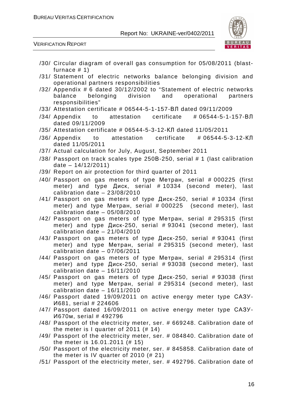

VERIFICATION REPORT

- /30/ Circular diagram of overall gas consumption for 05/08/2011 (blastfurnace # 1)
- /31/ Statement of electric networks balance belonging division and operational partners responsibilities
- /32/ Appendix # 6 dated 30/12/2002 to "Statement of electric networks balance belonging division and operational partners responsibilities"
- /33/ Attestation certificate # 06544-5-1-157-ВЛ dated 09/11/2009
- /34/ Appendix to attestation certificate # 06544-5-1-157-ВЛ dated 09/11/2009
- /35/ Attestation certificate # 06544-5-3-12-КЛ dated 11/05/2011
- /36/ Appendix to attestation certificate # 06544-5-3-12-КЛ dated 11/05/2011
- /37/ Actual calculation for July, August, September 2011
- /38/ Passport on track scales type 250В-250, serial # 1 (last calibration date  $-14/12/2011$
- /39/ Report on air protection for third quarter of 2011
- /40/ Passport on gas meters of type Метран, serial # 000225 (first meter) and type Диск, serial # 10334 (second meter), last calibration date – 23/08/2010
- /41/ Passport on gas meters of type Диск-250, serial # 10334 (first meter) and type Метран, serial # 000225 (second meter), last calibration date – 05/08/2010
- /42/ Passport on gas meters of type Метран, serial # 295315 (first meter) and type Диск-250, serial # 93041 (second meter), last calibration date – 21/04/2010
- /43/ Passport on gas meters of type Диск-250, serial # 93041 (first meter) and type Метран, serial # 295315 (second meter), last calibration date – 07/06/2011
- /44/ Passport on gas meters of type Метран, serial # 295314 (first meter) and type Диск-250, serial # 93038 (second meter), last calibration date – 16/11/2010
- /45/ Passport on gas meters of type Диск-250, serial # 93038 (first meter) and type Метран, serial # 295314 (second meter), last calibration date – 16/11/2010
- /46/ Passport dated 19/09/2011 on active energy meter type САЗУ-И681, serial # 224606
- /47/ Passport dated 16/09/2011 on active energy meter type САЗУ-И670м, serial # 492796
- /48/ Passport of the electricity meter, ser. # 669248. Calibration date of the meter is I quarter of 2011 (# 14)
- /49/ Passport of the electricity meter, ser. # 084840. Calibration date of the meter is 16.01.2011 (# 15)
- /50/ Passport of the electricity meter, ser. # 845858. Calibration date of the meter is IV quarter of 2010 (# 21)
- /51/ Passport of the electricity meter, ser. # 492796. Calibration date of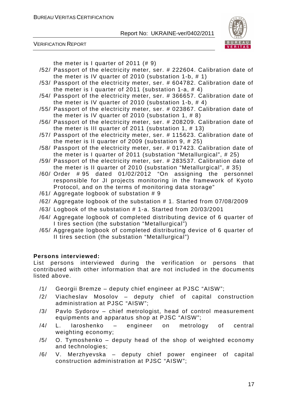

VERIFICATION REPORT

the meter is I quarter of 2011 (# 9)

- /52/ Passport of the electricity meter, ser. # 222604. Calibration date of the meter is IV quarter of 2010 (substation 1-b, # 1)
- /53/ Passport of the electricity meter, ser. # 604782. Calibration date of the meter is I quarter of 2011 (substation 1-a, # 4)
- /54/ Passport of the electricity meter, ser. # 366657. Calibration date of the meter is IV quarter of 2010 (substation 1-b, # 4)
- /55/ Passport of the electricity meter, ser. # 023867. Calibration date of the meter is IV quarter of 2010 (substation 1, # 8)
- /56/ Passport of the electricity meter, ser. # 208209. Calibration date of the meter is III quarter of 2011 (substation 1, # 13)
- /57/ Passport of the electricity meter, ser. # 115623. Calibration date of the meter is II quarter of 2009 (substation 9, # 25)
- /58/ Passport of the electricity meter, ser. # 017423. Calibration date of the meter is I quarter of 2011 (substation "Metallurgical", # 25)
- /59/ Passport of the electricity meter, ser. # 283537. Calibration date of the meter is II quarter of 2010 (substation "Metallurgical", # 35)
- /60/ Order # 95 dated 01/02/2012 "On assigning the personnel responsible for JI projects monitoring in the framework of Kyoto Protocol, and on the terms of monitoring data storage"
- /61/ Aggregate logbook of substation # 9
- /62/ Aggregate logbook of the substation # 1. Started from 07/08/2009
- /63/ Logbook of the substation # 1-a. Started from 20/03/2001
- /64/ Aggregate logbook of completed distributing device of 6 quarter of I tires section (the substation "Metallurgical")
- /65/ Aggregate logbook of completed distributing device of 6 quarter of II tires section (the substation "Metallurgical")

#### **Persons interviewed:**

List persons interviewed during the verification or persons that contributed with other information that are not included in the documents listed above.

- /1/ Georgii Bremze deputy chief engineer at PJSC "AISW";
- /2/ Viacheslav Mosolov deputy chief of capital construction administration at PJSC "AISW";
- /3/ Pavlo Sydorov chief metrologist, head of control measurement equipments and apparatus shop at PJSC "AISW";
- /4/ L. Iaroshenko engineer on metrology of central weighting economy;
- /5/ O. Tymoshenko deputy head of the shop of weighted economy and technologies;
- /6/ V. Merzhyevska deputy chief power engineer of capital construction administration at PJSC "AISW";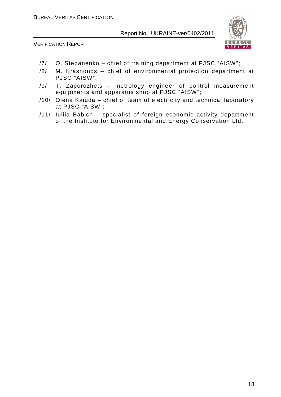

VERIFICATION REPORT

- /7/ O. Stepanenko chief of training department at PJSC "AISW";
- /8/ M. Krasnonos chief of environmental protection department at PJSC "AISW";
- /9/ T. Zaporozhets metrology engineer of control measurement equipments and apparatus shop at PJSC "AISW";
- /10/ Olena Kaiuda chief of team of electricity and technical laboratory at PJSC "AISW";
- /11/ Iuliia Babich specialist of foreign economic activity department of the Institute for Environmental and Energy Conservation Ltd.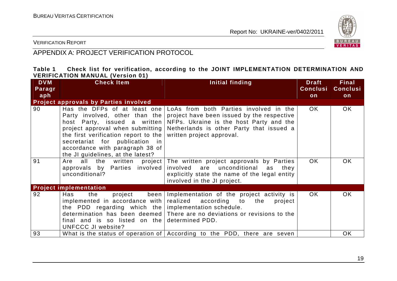

VERIFICATION REPORT

# APPENDIX A: PROJECT VERIFICATION PROTOCOL

#### **Table 1 Check list for verification, according to the JOINT IMPLEMENTATION DETERMINATION AND VERIFICATION MANUAL (Version 01)**

| <b>DVM</b><br>Paragr | <b>Check Item</b>                                                                                                                                                                                                      | Initial finding                                                                                                                                                                                                                                                      | <b>Draft</b><br><b>Conclusi</b> | <b>Final</b><br><b>Conclusi</b> |
|----------------------|------------------------------------------------------------------------------------------------------------------------------------------------------------------------------------------------------------------------|----------------------------------------------------------------------------------------------------------------------------------------------------------------------------------------------------------------------------------------------------------------------|---------------------------------|---------------------------------|
| aph                  |                                                                                                                                                                                                                        |                                                                                                                                                                                                                                                                      | on                              | on                              |
|                      | <b>Project approvals by Parties involved</b>                                                                                                                                                                           |                                                                                                                                                                                                                                                                      |                                 |                                 |
| 90                   | host Party, issued a written<br>project approval when submitting<br>the first verification report to the $ $<br>secretariat for publication in<br>accordance with paragraph 38 of<br>the JI guidelines, at the latest? | Has the DFPs of at least one LoAs from both Parties involved in the<br>Party involved, other than the project have been issued by the respective<br>NFPs. Ukraine is the host Party and the<br>Netherlands is other Party that issued a<br>written project approval. | OK.                             | <b>OK</b>                       |
| 91                   | approvals by Parties involved involved are unconditional<br>unconditional?                                                                                                                                             | Are all the written project The written project approvals by Parties<br>as<br>they<br>explicitly state the name of the legal entity<br>involved in the JI project.                                                                                                   | <b>OK</b>                       | <b>OK</b>                       |
|                      | <b>Project implementation</b>                                                                                                                                                                                          |                                                                                                                                                                                                                                                                      |                                 |                                 |
| 92                   | Has<br>the<br>project<br>implemented in accordance with $ $ realized according to<br>the PDD regarding which the implementation schedule.<br>final and is so listed on the determined PDD.<br>UNFCCC JI website?       | been Implementation of the project activity is<br>the<br>project<br>determination has been deemed There are no deviations or revisions to the                                                                                                                        | <b>OK</b>                       | <b>OK</b>                       |
| 93                   |                                                                                                                                                                                                                        | What is the status of operation of   According to the PDD, there are seven                                                                                                                                                                                           |                                 | <b>OK</b>                       |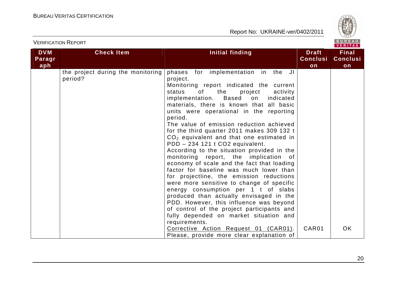VERIFICATION REPORT



| <b>DVM</b><br>Paragr<br>aph | <b>Check Item</b>                            | Initial finding                                                                                                                                                                                                                                                                                                                                                                                                                                                                                                                                                                                                                                                                                                                                                                                                                                                                                                                                                                     | <b>Draft</b><br><b>Conclusi</b><br>on | <b>Final</b><br><b>Conclusi</b><br>on |
|-----------------------------|----------------------------------------------|-------------------------------------------------------------------------------------------------------------------------------------------------------------------------------------------------------------------------------------------------------------------------------------------------------------------------------------------------------------------------------------------------------------------------------------------------------------------------------------------------------------------------------------------------------------------------------------------------------------------------------------------------------------------------------------------------------------------------------------------------------------------------------------------------------------------------------------------------------------------------------------------------------------------------------------------------------------------------------------|---------------------------------------|---------------------------------------|
|                             | the project during the monitoring<br>period? | phases for implementation in the JI<br>project.<br>Monitoring report indicated the current<br>the<br>status<br>of<br>project<br>activity<br>implementation.<br>Based<br>on<br>indicated<br>materials, there is known that all basic<br>units were operational in the reporting<br>period.<br>The value of emission reduction achieved<br>for the third quarter 2011 makes 309 132 t<br>$CO2$ equivalent and that one estimated in<br>PDD - 234 121 t CO2 equivalent.<br>According to the situation provided in the<br>monitoring report, the implication of<br>economy of scale and the fact that loading<br>factor for baseline was much lower than<br>for projectline, the emission reductions<br>were more sensitive to change of specific<br>energy consumption per 1 t of slabs<br>produced than actually envisaged in the<br>PDD. However, this influence was beyond<br>of control of the project participants and<br>fully depended on market situation and<br>requirements. |                                       |                                       |
|                             |                                              | Corrective Action Request 01 (CAR01).<br>Please, provide more clear explanation of                                                                                                                                                                                                                                                                                                                                                                                                                                                                                                                                                                                                                                                                                                                                                                                                                                                                                                  | CAR01                                 | <b>OK</b>                             |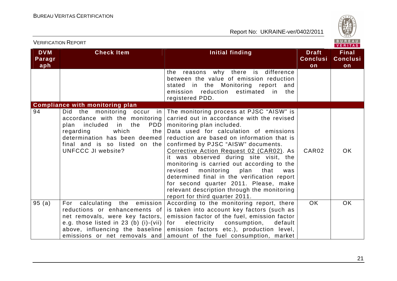

| <b>VERIFICATION REPORT</b>  |                                                                                                                                                                                                                                                                                    |                                                                                                                                                                                                                                                                                                                                                                                                                                                                                                                                                                                                                         |                                       | BUREAU<br><b>VERITAS</b>              |
|-----------------------------|------------------------------------------------------------------------------------------------------------------------------------------------------------------------------------------------------------------------------------------------------------------------------------|-------------------------------------------------------------------------------------------------------------------------------------------------------------------------------------------------------------------------------------------------------------------------------------------------------------------------------------------------------------------------------------------------------------------------------------------------------------------------------------------------------------------------------------------------------------------------------------------------------------------------|---------------------------------------|---------------------------------------|
| <b>DVM</b><br>Paragr<br>aph | <b>Check Item</b>                                                                                                                                                                                                                                                                  | Initial finding                                                                                                                                                                                                                                                                                                                                                                                                                                                                                                                                                                                                         | <b>Draft</b><br><b>Conclusi</b><br>on | <b>Final</b><br><b>Conclusi</b><br>on |
|                             |                                                                                                                                                                                                                                                                                    | reasons why there is difference<br>the<br>between the value of emission reduction<br>stated in the Monitoring report<br>and<br>emission reduction estimated in the<br>registered PDD.                                                                                                                                                                                                                                                                                                                                                                                                                                   |                                       |                                       |
| 94                          | <b>Compliance with monitoring plan</b><br>Did the monitoring occur<br>in<br>accordance with the monitoring<br><b>PDD</b><br>included<br>in the<br>plan<br>which<br>regarding<br>the<br>determination has been deemed<br>final and is so listed on the<br><b>UNFCCC JI website?</b> | The monitoring process at PJSC "AISW" is<br>carried out in accordance with the revised<br>monitoring plan included.<br>Data used for calculation of emissions<br>reduction are based on information that is<br>confirmed by PJSC "AISW" documents.<br><u>Corrective Action Request 02 (CAR02)</u> . As<br>it was observed during site visit, the<br>monitoring is carried out according to the<br>revised<br>monitoring<br>plan<br>that<br>was<br>determined final in the verification report<br>for second quarter 2011. Please, make<br>relevant description through the monitoring<br>report for third quarter 2011. | CAR <sub>02</sub>                     | OK.                                   |
| 95(a)                       | For calculating the emission<br>reductions or enhancements of<br>net removals, were key factors,<br>e.g. those listed in 23 (b) (i)-(vii)<br>above, influencing the baseline<br>emissions or net removals and                                                                      | According to the monitoring report, there<br>is taken into account key factors (such as<br>emission factor of the fuel, emission factor<br>electricity consumption, default<br>for<br>emission factors etc.), production level,<br>amount of the fuel consumption, market                                                                                                                                                                                                                                                                                                                                               | <b>OK</b>                             | OK.                                   |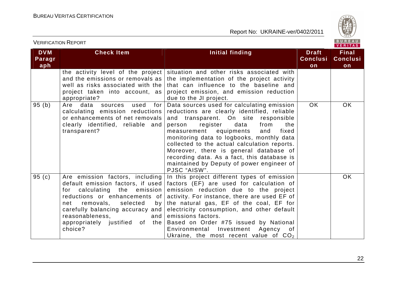

| <b>VERIFICATION REPORT</b>  |                                                                                                                                                                                                                                                                  |                                                                                                                                                                                                                                                                                                                                                                                                                                                                             |                                       | BUREAU<br><b>VERITAS</b>              |
|-----------------------------|------------------------------------------------------------------------------------------------------------------------------------------------------------------------------------------------------------------------------------------------------------------|-----------------------------------------------------------------------------------------------------------------------------------------------------------------------------------------------------------------------------------------------------------------------------------------------------------------------------------------------------------------------------------------------------------------------------------------------------------------------------|---------------------------------------|---------------------------------------|
| <b>DVM</b><br>Paragr<br>aph | <b>Check Item</b>                                                                                                                                                                                                                                                | Initial finding                                                                                                                                                                                                                                                                                                                                                                                                                                                             | <b>Draft</b><br><b>Conclusi</b><br>on | <b>Final</b><br><b>Conclusi</b><br>on |
|                             | the activity level of the project<br>and the emissions or removals as<br>well as risks associated with the<br>project taken into account, as<br>appropriate?                                                                                                     | situation and other risks associated with<br>the implementation of the project activity<br>that can influence to the baseline and<br>project emission, and emission reduction<br>due to the JI project.                                                                                                                                                                                                                                                                     |                                       |                                       |
| 95(b)                       | for<br>Are data<br>used<br>sources<br>calculating emission reductions<br>or enhancements of net removals<br>clearly identified, reliable and<br>transparent?                                                                                                     | Data sources used for calculating emission<br>reductions are clearly identified, reliable<br>and transparent. On site responsible<br>register<br>data<br>from<br>the<br>person<br>measurement equipments<br>and<br>fixed<br>monitoring data to logbooks, monthly data<br>collected to the actual calculation reports.<br>Moreover, there is general database of<br>recording data. As a fact, this database is<br>maintained by Deputy of power engineer of<br>PJSC "AISW". | <b>OK</b>                             | <b>OK</b>                             |
| 95(c)                       | Are emission factors, including<br>for calculating the emission<br>reductions or enhancements of<br>removals,<br>selected<br>net<br>by <sub>l</sub><br>carefully balancing accuracy and<br>reasonableness.<br>and  <br>appropriately justified of the<br>choice? | In this project different types of emission<br>default emission factors, if used   factors (EF) are used for calculation of<br>emission reduction due to the project<br>activity. For instance, there are used EF of<br>the natural gas, EF of the coal, EF for<br>electricity consumption, and other default<br>emissions factors.<br>Based on Order #75 issued by National<br>Environmental<br>Investment Agency<br>of<br>Ukraine, the most recent value of $CO2$         |                                       | <b>OK</b>                             |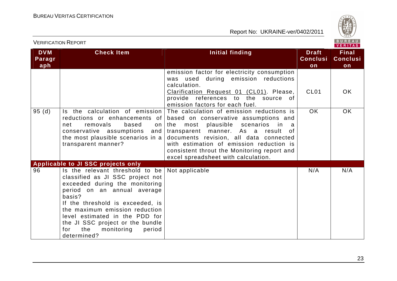

|                             | <b>VERIFICATION REPORT</b>                                                                                                                                                                                                                                                                                                                      |                                                                                                                                                                                                                                                                                                                                                                                                  |                                       | BUREAU<br><b>VERITAS</b>              |
|-----------------------------|-------------------------------------------------------------------------------------------------------------------------------------------------------------------------------------------------------------------------------------------------------------------------------------------------------------------------------------------------|--------------------------------------------------------------------------------------------------------------------------------------------------------------------------------------------------------------------------------------------------------------------------------------------------------------------------------------------------------------------------------------------------|---------------------------------------|---------------------------------------|
| <b>DVM</b><br>Paragr<br>aph | <b>Check Item</b>                                                                                                                                                                                                                                                                                                                               | Initial finding                                                                                                                                                                                                                                                                                                                                                                                  | <b>Draft</b><br><b>Conclusi</b><br>on | <b>Final</b><br><b>Conclusi</b><br>on |
|                             |                                                                                                                                                                                                                                                                                                                                                 | emission factor for electricity consumption<br>was used during emission reductions<br>calculation.<br>Clarification Request 01 (CL01). Please,<br>provide references to the source of                                                                                                                                                                                                            | CL <sub>01</sub>                      | OK.                                   |
| 95(d)                       | Is the calculation of emission<br>reductions or enhancements of<br>removals<br>based<br>net<br>on<br>conservative assumptions<br>and<br>the most plausible scenarios in a<br>transparent manner?                                                                                                                                                | emission factors for each fuel.<br>The calculation of emission reductions is<br>based on conservative assumptions and<br>plausible<br>the<br>most<br>scenarios<br>in<br>- a<br>transparent manner. As a result<br>0f<br>documents revision, all data connected<br>with estimation of emission reduction is<br>consistent throut the Monitoring report and<br>excel spreadsheet with calculation. | <b>OK</b>                             | OK                                    |
|                             | <b>Applicable to JI SSC projects only</b>                                                                                                                                                                                                                                                                                                       |                                                                                                                                                                                                                                                                                                                                                                                                  |                                       |                                       |
| 96                          | Is the relevant threshold to be<br>classified as JI SSC project not<br>exceeded during the monitoring<br>period on an annual average<br>basis?<br>If the threshold is exceeded, is<br>the maximum emission reduction<br>level estimated in the PDD for<br>the JI SSC project or the bundle<br>the<br>monitoring<br>for<br>period<br>determined? | Not applicable                                                                                                                                                                                                                                                                                                                                                                                   | N/A                                   | N/A                                   |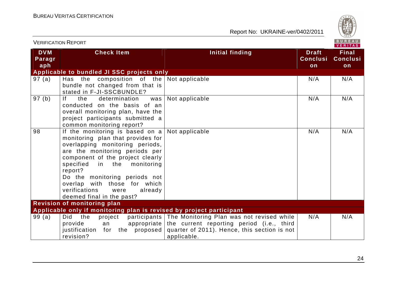

| <b>VERIFICATION REPORT</b>  |                                                                                                                                                                                                                                                                                                                                                                             | BUREAU<br><b>VERITAS</b>                                                                                                                                                         |                                       |                                       |
|-----------------------------|-----------------------------------------------------------------------------------------------------------------------------------------------------------------------------------------------------------------------------------------------------------------------------------------------------------------------------------------------------------------------------|----------------------------------------------------------------------------------------------------------------------------------------------------------------------------------|---------------------------------------|---------------------------------------|
| <b>DVM</b><br>Paragr<br>aph | <b>Check Item</b>                                                                                                                                                                                                                                                                                                                                                           | Initial finding                                                                                                                                                                  | <b>Draft</b><br><b>Conclusi</b><br>on | <b>Final</b><br><b>Conclusi</b><br>on |
|                             | Applicable to bundled JI SSC projects only                                                                                                                                                                                                                                                                                                                                  |                                                                                                                                                                                  |                                       |                                       |
| 97(a)                       | Has the composition of the Not applicable<br>bundle not changed from that is<br>stated in F-JI-SSCBUNDLE?                                                                                                                                                                                                                                                                   |                                                                                                                                                                                  | N/A                                   | N/A                                   |
| 97(b)                       | f <br>the<br>determination<br>was<br>conducted on the basis of an<br>overall monitoring plan, have the<br>project participants submitted a<br>common monitoring report?                                                                                                                                                                                                     | Not applicable                                                                                                                                                                   | N/A                                   | N/A                                   |
| 98                          | If the monitoring is based on a Not applicable<br>monitoring plan that provides for<br>overlapping monitoring periods,<br>are the monitoring periods per<br>component of the project clearly<br>specified<br>in the monitoring<br>report?<br>Do the monitoring periods not<br>overlap with those for which<br>verifications<br>already<br>were<br>deemed final in the past? |                                                                                                                                                                                  | N/A                                   | N/A                                   |
|                             | <b>Revision of monitoring plan</b>                                                                                                                                                                                                                                                                                                                                          |                                                                                                                                                                                  |                                       |                                       |
|                             | Applicable only if monitoring plan is revised by project participant                                                                                                                                                                                                                                                                                                        |                                                                                                                                                                                  |                                       |                                       |
| 99(a)                       | the<br>Did<br>project<br>provide<br>an<br>proposed<br>justification<br>for the<br>revision?                                                                                                                                                                                                                                                                                 | participants The Monitoring Plan was not revised while<br>appropriate the current reporting period $(i.e.,$ third<br>quarter of 2011). Hence, this section is not<br>applicable. | N/A                                   | N/A                                   |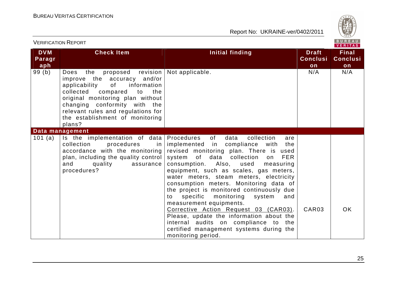

| <b>VERIFICATION REPORT</b>  |                                                                                                                                                                                                                                                                                              | BUREAU<br><b>VERITAS</b>                                                                                                                                                                                                                                                                                                                                                                                                                                                                                                                                                                                                                                                     |                                       |                                       |
|-----------------------------|----------------------------------------------------------------------------------------------------------------------------------------------------------------------------------------------------------------------------------------------------------------------------------------------|------------------------------------------------------------------------------------------------------------------------------------------------------------------------------------------------------------------------------------------------------------------------------------------------------------------------------------------------------------------------------------------------------------------------------------------------------------------------------------------------------------------------------------------------------------------------------------------------------------------------------------------------------------------------------|---------------------------------------|---------------------------------------|
| <b>DVM</b><br>Paragr<br>aph | <b>Check Item</b>                                                                                                                                                                                                                                                                            | <b>Initial finding</b>                                                                                                                                                                                                                                                                                                                                                                                                                                                                                                                                                                                                                                                       | <b>Draft</b><br><b>Conclusi</b><br>on | <b>Final</b><br><b>Conclusi</b><br>on |
| 99(b)                       | Does<br>the<br>proposed revision<br>improve the accuracy and/or<br>applicability<br>information<br>of<br>collected compared to<br>the<br>original monitoring plan without<br>changing conformity with the<br>relevant rules and regulations for<br>the establishment of monitoring<br>plans? | Not applicable.                                                                                                                                                                                                                                                                                                                                                                                                                                                                                                                                                                                                                                                              | N/A                                   | N/A                                   |
|                             | Data management                                                                                                                                                                                                                                                                              |                                                                                                                                                                                                                                                                                                                                                                                                                                                                                                                                                                                                                                                                              |                                       |                                       |
| 101 (a)                     | Is the implementation of data<br>collection<br>procedures<br>in l<br>accordance with the monitoring<br>plan, including the quality control<br>and<br>quality<br>assurance<br>procedures?                                                                                                     | Procedures of<br>data<br>collection<br>are<br>implemented in compliance with<br>the<br>revised monitoring plan. There is used<br>system of data collection<br><b>FER</b><br>on<br>consumption. Also, used<br>measuring<br>equipment, such as scales, gas meters,<br>water meters, steam meters, electricity<br>consumption meters. Monitoring data of<br>the project is monitored continuously due<br>specific<br>monitoring<br>system<br>and<br>to<br>measurement equipments.<br>Corrective Action Request 03 (CAR03).<br>Please, update the information about the<br>internal audits on compliance to the<br>certified management systems during the<br>monitoring period. | CAR03                                 | <b>OK</b>                             |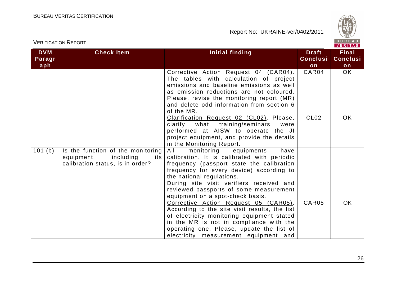

| <b>VERIFICATION REPORT</b>  |                                                                                                         |                                                                                                                                                                                                                                                                                                                                                                                                                                                                                                                                                                                                                 | BUREAU<br><b>VERITAS</b>              |                                       |
|-----------------------------|---------------------------------------------------------------------------------------------------------|-----------------------------------------------------------------------------------------------------------------------------------------------------------------------------------------------------------------------------------------------------------------------------------------------------------------------------------------------------------------------------------------------------------------------------------------------------------------------------------------------------------------------------------------------------------------------------------------------------------------|---------------------------------------|---------------------------------------|
| <b>DVM</b><br>Paragr<br>aph | <b>Check Item</b>                                                                                       | <b>Initial finding</b>                                                                                                                                                                                                                                                                                                                                                                                                                                                                                                                                                                                          | <b>Draft</b><br><b>Conclusi</b><br>on | <b>Final</b><br><b>Conclusi</b><br>on |
|                             |                                                                                                         | Corrective Action Request 04 (CAR04).<br>The tables with calculation of project<br>emissions and baseline emissions as well<br>as emission reductions are not coloured.<br>Please, revise the monitoring report (MR)<br>and delete odd information from section 6<br>of the MR.<br>Clarification Request 02 (CL02). Please,                                                                                                                                                                                                                                                                                     | CAR04<br>CL <sub>02</sub>             | OK.<br>OK.                            |
|                             |                                                                                                         | what<br>training/seminars<br>clarify<br>were<br>performed at AISW to operate the JI<br>project equipment, and provide the details<br>in the Monitoring Report.                                                                                                                                                                                                                                                                                                                                                                                                                                                  |                                       |                                       |
| 101(b)                      | Is the function of the monitoring<br>equipment,<br>including<br>its<br>calibration status, is in order? | All<br>monitoring<br>equipments<br>have<br>calibration. It is calibrated with periodic<br>frequency (passport state the calibration<br>frequency for every device) according to<br>the national regulations.<br>During site visit verifiers received and<br>reviewed passports of some measurement<br>equipment on a spot-check basis.<br>Corrective Action Request 05 (CAR05).<br>According to the site visit results, the list<br>of electricity monitoring equipment stated<br>in the MR is not in compliance with the<br>operating one. Please, update the list of<br>electricity measurement equipment and | CAR <sub>05</sub>                     | OK.                                   |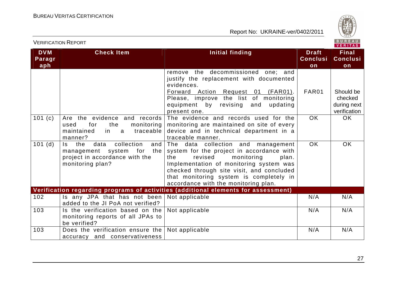

|                             | <b>VERIFICATION REPORT</b>                                                                                                     |                                                                                                                                                                                                                                                                                                     |                                       | BUREAU<br><b>VERITAS</b>                            |
|-----------------------------|--------------------------------------------------------------------------------------------------------------------------------|-----------------------------------------------------------------------------------------------------------------------------------------------------------------------------------------------------------------------------------------------------------------------------------------------------|---------------------------------------|-----------------------------------------------------|
| <b>DVM</b><br>Paragr<br>aph | <b>Check Item</b>                                                                                                              | <b>Initial finding</b>                                                                                                                                                                                                                                                                              | <b>Draft</b><br><b>Conclusi</b><br>on | <b>Final</b><br><b>Conclusi</b><br>on               |
|                             |                                                                                                                                | remove the decommissioned one; and<br>justify the replacement with documented<br>evidences.<br>Forward Action Request 01 (FAR01).<br>Please, improve the list of monitoring<br>equipment by revising<br>and<br>updating<br>present one.                                                             | FAR01                                 | Should be<br>checked<br>during next<br>verification |
| 101 $(c)$                   | Are the evidence and records<br>for<br>the<br>monitoring<br>used<br>maintained<br>traceable<br>in.<br>a<br>manner?             | The evidence and records used for the<br>monitoring are maintained on site of every<br>device and in technical department in a<br>traceable manner.                                                                                                                                                 | OK.                                   | OK.                                                 |
| 101(d)                      | collection<br>the<br>data<br>and<br>ls l<br>management system for<br>the<br>project in accordance with the<br>monitoring plan? | The data collection and management<br>system for the project in accordance with<br>the<br>revised<br>monitoring<br>plan.<br>Implementation of monitoring system was<br>checked through site visit, and concluded<br>that monitoring system is completely in<br>accordance with the monitoring plan. | <b>OK</b>                             | <b>OK</b>                                           |
|                             |                                                                                                                                | Verification regarding programs of activities (additional elements for assessment)                                                                                                                                                                                                                  |                                       |                                                     |
| 102                         | Is any JPA that has not been<br>added to the JI PoA not verified?                                                              | Not applicable                                                                                                                                                                                                                                                                                      | N/A                                   | N/A                                                 |
| 103                         | Is the verification based on the<br>monitoring reports of all JPAs to<br>be verified?                                          | Not applicable                                                                                                                                                                                                                                                                                      | N/A                                   | N/A                                                 |
| 103                         | Does the verification ensure the<br>accuracy and conservativeness                                                              | Not applicable                                                                                                                                                                                                                                                                                      | N/A                                   | N/A                                                 |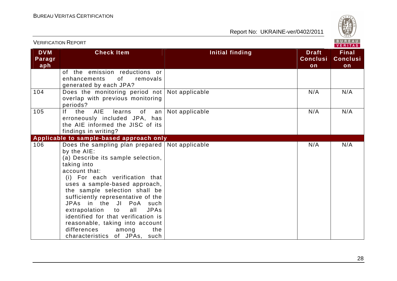

| BUREAU<br><b>VERIFICATION REPORT</b><br><b>VERITAS</b> |                                                                                                                                                                                                                                                                                                                                                                                                                                                                                                |                 |                                       |                                       |
|--------------------------------------------------------|------------------------------------------------------------------------------------------------------------------------------------------------------------------------------------------------------------------------------------------------------------------------------------------------------------------------------------------------------------------------------------------------------------------------------------------------------------------------------------------------|-----------------|---------------------------------------|---------------------------------------|
| <b>DVM</b><br>Paragr<br>aph                            | <b>Check Item</b>                                                                                                                                                                                                                                                                                                                                                                                                                                                                              | Initial finding | <b>Draft</b><br><b>Conclusi</b><br>on | <b>Final</b><br><b>Conclusi</b><br>on |
|                                                        | of the emission reductions or<br>of the contract of the contract of the contract of the contract of the contract of the contract of the contract<br>enhancements<br>removals<br>generated by each JPA?                                                                                                                                                                                                                                                                                         |                 |                                       |                                       |
| 104                                                    | Does the monitoring period not Not applicable<br>overlap with previous monitoring<br>periods?                                                                                                                                                                                                                                                                                                                                                                                                  |                 | N/A                                   | N/A                                   |
| 105                                                    | AIE<br>If<br>the<br>learns<br>of<br>an<br>erroneously included JPA, has<br>the AIE informed the JISC of its<br>findings in writing?                                                                                                                                                                                                                                                                                                                                                            | Not applicable  | N/A                                   | N/A                                   |
|                                                        | Applicable to sample-based approach only                                                                                                                                                                                                                                                                                                                                                                                                                                                       |                 |                                       |                                       |
| 106                                                    | Does the sampling plan prepared   Not applicable<br>by the AIE:<br>(a) Describe its sample selection,<br>taking into<br>account that:<br>(i) For each verification that<br>uses a sample-based approach,<br>the sample selection shall be<br>sufficiently representative of the<br>JPAs in the JI PoA such<br>extrapolation to<br>all<br><b>JPAs</b><br>identified for that verification is<br>reasonable, taking into account<br>differences<br>among<br>the<br>characteristics of JPAs, such |                 | N/A                                   | N/A                                   |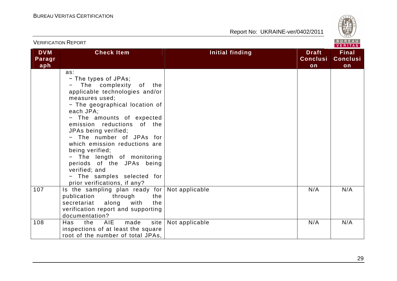

|                             | <b>VERIFICATION REPORT</b>                                                                                                                                                                                                                                                                                                                                                                                                                                           |                 |                                       | BUREAU<br><b>VERITAS</b>              |
|-----------------------------|----------------------------------------------------------------------------------------------------------------------------------------------------------------------------------------------------------------------------------------------------------------------------------------------------------------------------------------------------------------------------------------------------------------------------------------------------------------------|-----------------|---------------------------------------|---------------------------------------|
| <b>DVM</b><br>Paragr<br>aph | <b>Check Item</b>                                                                                                                                                                                                                                                                                                                                                                                                                                                    | Initial finding | <b>Draft</b><br><b>Conclusi</b><br>on | <b>Final</b><br><b>Conclusi</b><br>on |
|                             | as:<br>- The types of JPAs;<br>The complexity of the<br>applicable technologies and/or<br>measures used:<br>- The geographical location of<br>each JPA;<br>- The amounts of expected<br>emission reductions of the<br>JPAs being verified;<br>- The number of JPAs for<br>which emission reductions are<br>being verified;<br>- The length of monitoring<br>periods of the JPAs being<br>verified; and<br>- The samples selected for<br>prior verifications, if any? |                 |                                       |                                       |
| 107                         | Is the sampling plan ready for<br>publication through<br>the<br>along<br>the<br>secretariat<br>with<br>verification report and supporting<br>documentation?                                                                                                                                                                                                                                                                                                          | Not applicable  | N/A                                   | N/A                                   |
| 108                         | Has<br>the<br>AIE.<br>made<br>site<br>inspections of at least the square<br>root of the number of total JPAs,                                                                                                                                                                                                                                                                                                                                                        | Not applicable  | N/A                                   | N/A                                   |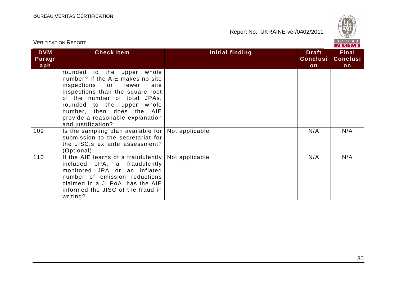

|                               |                                                                                                                                                                                                                                                                                                                               | VERITAS         |                                       |                                       |  |
|-------------------------------|-------------------------------------------------------------------------------------------------------------------------------------------------------------------------------------------------------------------------------------------------------------------------------------------------------------------------------|-----------------|---------------------------------------|---------------------------------------|--|
| <b>DVM</b><br>Paragr<br>aph l | <b>Check Item</b>                                                                                                                                                                                                                                                                                                             | Initial finding | <b>Draft</b><br><b>Conclusi</b><br>on | <b>Final</b><br><b>Conclusi</b><br>on |  |
| 109                           | rounded to the upper whole<br>number? If the AIE makes no site<br>inspections or fewer<br>site<br>inspections than the square root<br>of the number of total JPAs,<br>rounded to the upper whole<br>number, then does the AIE<br>provide a reasonable explanation<br>and justification?<br>Is the sampling plan available for | Not applicable  | N/A                                   | N/A                                   |  |
|                               | submission to the secretariat for<br>the JISC.s ex ante assessment?<br>(Optional)                                                                                                                                                                                                                                             |                 |                                       |                                       |  |
| 110                           | If the AIE learns of a fraudulently<br>included JPA, a fraudulently<br>monitored JPA or an inflated<br>number of emission reductions<br>claimed in a JI PoA, has the AIE<br>informed the JISC of the fraud in<br>writing?                                                                                                     | Not applicable  | N/A                                   | N/A                                   |  |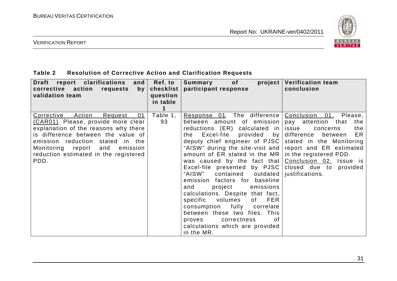

#### VERIFICATION REPORT

### **Table 2 Resolution of Corrective Action and Clarification Requests**

| Draft report clarifications<br>and $\vert$<br>corrective action<br>requests<br>by <sub>l</sub><br>validation team                                                                                                                                                                    | <b>Ref. to</b><br>checklist<br>question<br>in table | Summary of<br>$\boldsymbol{project}$<br>participant response                                                                                                                                                                                                                                                                                                                                                                                                                                                                                                                                                                                                                                           | <b>Verification team</b><br>conclusion                                                                                                                                                  |
|--------------------------------------------------------------------------------------------------------------------------------------------------------------------------------------------------------------------------------------------------------------------------------------|-----------------------------------------------------|--------------------------------------------------------------------------------------------------------------------------------------------------------------------------------------------------------------------------------------------------------------------------------------------------------------------------------------------------------------------------------------------------------------------------------------------------------------------------------------------------------------------------------------------------------------------------------------------------------------------------------------------------------------------------------------------------------|-----------------------------------------------------------------------------------------------------------------------------------------------------------------------------------------|
| Corrective<br>Action<br>01<br>Request<br>(CAR01). Please, provide more clear<br>explanation of the reasons why there<br>is difference between the value of<br>emission reduction stated<br>in the<br>Monitoring report and emission<br>reduction estimated in the registered<br>PDD. | Table 1,<br>93                                      | Response 01. The difference   Conclusion 01. Please,<br>between amount of emission<br>reductions $(ER)$ calculated in<br>the Excel-file provided by<br>deputy chief engineer of PJSC<br>"AISW" during the site-visit and report and ER estimated<br>amount of ER stated in the MR $ $<br>was caused by the fact that $\lfloor$ Conclusion 02. Issue is<br>Excel-file presented by PJSC<br>"AISW" contained outdated<br>emission factors for baseline<br>project<br>emissions<br>and<br>calculations. Despite that fact,<br>specific volumes<br>of FER<br>consumption fully correlate<br>between these two files. This<br>correctness<br>proves<br>of.<br>calculations which are provided<br>in the MR. | pay attention<br>the<br>that<br>issue<br>the<br>concerns<br>ER<br>difference between<br>stated in the Monitoring<br>in the registered PDD.<br>closed due to provided<br>justifications. |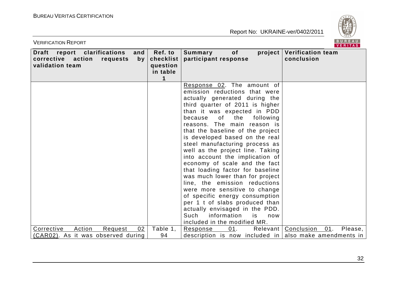VERIFICATION REPORT



| report clarifications<br><b>Draft</b><br>and<br>corrective action<br>requests<br>by<br>validation team | Ref. to<br>checklist<br>question<br>in table<br>1 | of<br>project<br>Summary<br>participant response                 | <b>Verification team</b><br>conclusion  |
|--------------------------------------------------------------------------------------------------------|---------------------------------------------------|------------------------------------------------------------------|-----------------------------------------|
|                                                                                                        |                                                   | Response 02. The amount of                                       |                                         |
|                                                                                                        |                                                   | emission reductions that were                                    |                                         |
|                                                                                                        |                                                   | actually generated during the                                    |                                         |
|                                                                                                        |                                                   | third quarter of 2011 is higher                                  |                                         |
|                                                                                                        |                                                   | than it was expected in PDD                                      |                                         |
|                                                                                                        |                                                   | because of the following                                         |                                         |
|                                                                                                        |                                                   | reasons. The main reason is                                      |                                         |
|                                                                                                        |                                                   | that the baseline of the project                                 |                                         |
|                                                                                                        |                                                   | is developed based on the real                                   |                                         |
|                                                                                                        |                                                   | steel manufacturing process as                                   |                                         |
|                                                                                                        |                                                   | well as the project line. Taking                                 |                                         |
|                                                                                                        |                                                   | into account the implication of<br>economy of scale and the fact |                                         |
|                                                                                                        |                                                   | that loading factor for baseline                                 |                                         |
|                                                                                                        |                                                   | was much lower than for project                                  |                                         |
|                                                                                                        |                                                   | line, the emission reductions                                    |                                         |
|                                                                                                        |                                                   | were more sensitive to change                                    |                                         |
|                                                                                                        |                                                   | of specific energy consumption                                   |                                         |
|                                                                                                        |                                                   | per 1 t of slabs produced than                                   |                                         |
|                                                                                                        |                                                   | actually envisaged in the PDD.                                   |                                         |
|                                                                                                        |                                                   | Such<br>information<br>is<br>now                                 |                                         |
|                                                                                                        |                                                   | included in the modified MR.                                     |                                         |
| Action<br>02<br>Corrective<br>Request                                                                  | Table 1,                                          | 01.<br>Response                                                  | Please,<br>Relevant   Conclusion<br>01. |
| (CAR02). As it was observed during                                                                     | 94                                                | description is now included in also make amendments in           |                                         |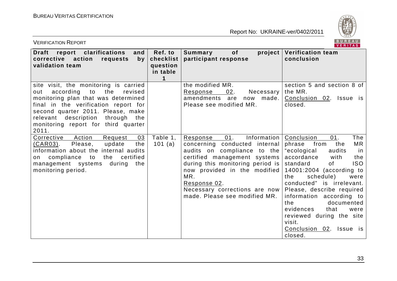

| <b>VERIFICATION REPORT</b>                                                                                                                                                                                                                                                                   |                                                   |                                                                                                                                                                                                                                                                                               | BUREAU<br><b>VERITAS</b>                                                                                                                                                                                                                                                                                                                                                                                                        |
|----------------------------------------------------------------------------------------------------------------------------------------------------------------------------------------------------------------------------------------------------------------------------------------------|---------------------------------------------------|-----------------------------------------------------------------------------------------------------------------------------------------------------------------------------------------------------------------------------------------------------------------------------------------------|---------------------------------------------------------------------------------------------------------------------------------------------------------------------------------------------------------------------------------------------------------------------------------------------------------------------------------------------------------------------------------------------------------------------------------|
| report clarifications<br>and<br>Draft<br>corrective action<br>requests<br>by<br>validation team                                                                                                                                                                                              | Ref. to<br>checklist<br>question<br>in table<br>1 | <b>of</b><br>project<br>Summary<br>participant response                                                                                                                                                                                                                                       | <b>Verification team</b><br>conclusion                                                                                                                                                                                                                                                                                                                                                                                          |
| site visit, the monitoring is carried<br>according<br>to<br>the<br>revised<br>out<br>monitoring plan that was determined<br>final in the verification report for<br>second quarter 2011. Please, make<br>relevant description<br>through the<br>monitoring report for third quarter<br>2011. |                                                   | the modified MR.<br>Response<br>02.<br>Necessary<br>amendments are<br>now<br>made.<br>Please see modified MR.                                                                                                                                                                                 | section 5 and section 8 of<br>the MR.<br>Conclusion 02. Issue is<br>closed.                                                                                                                                                                                                                                                                                                                                                     |
| Action<br>03<br>Corrective<br>Request<br>Please,<br>update<br>the<br><u>(CAR03)</u> .<br>information about the internal audits<br>the certified<br>on compliance to<br>management systems<br>during<br>the<br>monitoring period.                                                             | Table 1,<br>101 $(a)$                             | Information  <br>01.<br>Response<br>concerning conducted internal<br>audits on compliance to the<br>certified management systems<br>during this monitoring period is<br>now provided in the modified<br>MR.<br>Response 02.<br>Necessary corrections are now<br>made. Please see modified MR. | The<br>Conclusion<br>01.<br>MR<br>phrase<br>from<br>the<br>"ecological<br>audits<br>in<br>accordance<br>with<br>the<br><b>ISO</b><br>standard<br>of<br>14001:2004 (according to<br>schedule)<br>the<br>were<br>conducted" is irrelevant.<br>Please, describe required<br>information according to<br>documented<br>the<br>evidences<br>that<br>were<br>reviewed during the site<br>visit.<br>Conclusion 02. Issue is<br>closed. |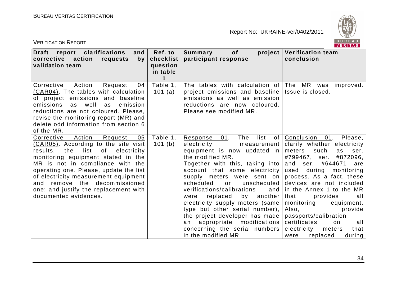

| <b>VERIFICATION REPORT</b>                                                                                                                                                                                                                                                                                                                                                                         |                                              |                                                                                                                                                                                                                                                                                                                                                                                                                                                                                                                                                   | BUREAU<br><b>VERITAS</b>                                                                                                                                                                                                                                                                                                                                                                                                                                                     |
|----------------------------------------------------------------------------------------------------------------------------------------------------------------------------------------------------------------------------------------------------------------------------------------------------------------------------------------------------------------------------------------------------|----------------------------------------------|---------------------------------------------------------------------------------------------------------------------------------------------------------------------------------------------------------------------------------------------------------------------------------------------------------------------------------------------------------------------------------------------------------------------------------------------------------------------------------------------------------------------------------------------------|------------------------------------------------------------------------------------------------------------------------------------------------------------------------------------------------------------------------------------------------------------------------------------------------------------------------------------------------------------------------------------------------------------------------------------------------------------------------------|
| report clarifications<br>and<br><b>Draft</b><br>corrective action<br>requests<br>by<br>validation team                                                                                                                                                                                                                                                                                             | Ref. to<br>checklist<br>question<br>in table | of<br>project<br>Summary<br>participant response                                                                                                                                                                                                                                                                                                                                                                                                                                                                                                  | <b>Verification team</b><br>conclusion                                                                                                                                                                                                                                                                                                                                                                                                                                       |
| Action<br>Corrective<br>Request<br>04<br>(CAR04). The tables with calculation<br>of project emissions and baseline<br>well<br>emissions<br>emission<br>as<br>as<br>reductions are not coloured. Please,<br>revise the monitoring report (MR) and<br>delete odd information from section 6<br>of the MR.                                                                                            | Table 1,<br>101 $(a)$                        | The tables with calculation of<br>project emissions and baseline<br>emissions as well as emission<br>reductions are now coloured.<br>Please see modified MR.                                                                                                                                                                                                                                                                                                                                                                                      | The<br>MR<br>was<br>improved.<br>Issue is closed.                                                                                                                                                                                                                                                                                                                                                                                                                            |
| Action<br>Request<br>05<br>Corrective<br>(CAR05). According to the site visit<br>list<br>of<br>the<br>electricity<br>results.<br>monitoring equipment stated in the<br>MR is not in compliance with the<br>operating one. Please, update the list<br>of electricity measurement equipment<br>remove the<br>decommissioned<br>and<br>one; and justify the replacement with<br>documented evidences. | Table 1,<br>101(b)                           | The<br>list<br>01.<br>of <sub>1</sub><br>Response<br>electricity<br>measurement  <br>equipment is now updated in<br>the modified MR.<br>Together with this, taking into<br>account that some electricity<br>supply meters were sent on<br>unscheduled<br>scheduled<br>or<br>verifications/calibrations<br>and<br>replaced<br>by another<br>were<br>electricity supply meters (same<br>type but other serial number),<br>the project developer has made<br>appropriate modifications<br>an<br>concerning the serial numbers<br>in the modified MR. | Conclusion<br>01.<br>Please,<br>clarify whether electricity<br>meters<br>such<br>ser.<br>as<br>#872096,<br>#799467,<br>ser.<br>and<br>ser. #644671<br>are<br>used during<br>monitoring<br>process. As a fact, these<br>devices are not included<br>in the Annex 1 to the MR<br>that<br>provides<br>all<br>monitoring<br>equipment.<br>Also,<br>provide<br>passports/calibration<br>certificates<br>all<br>on.<br>electricity<br>that<br>meters<br>replaced<br>during<br>were |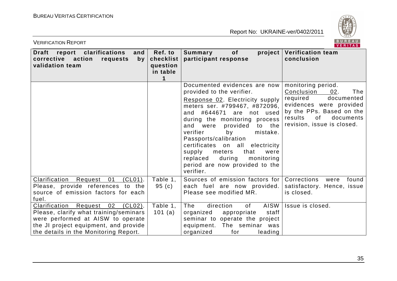

| BUREAU<br><b>VERIFICATION REPORT</b><br><b>VERITAS</b>                                                                                                                                                            |                                              |                                                                                                                                                                                                                                                                                                                                                                                                                                                  |                                                                                                                                                                                             |  |
|-------------------------------------------------------------------------------------------------------------------------------------------------------------------------------------------------------------------|----------------------------------------------|--------------------------------------------------------------------------------------------------------------------------------------------------------------------------------------------------------------------------------------------------------------------------------------------------------------------------------------------------------------------------------------------------------------------------------------------------|---------------------------------------------------------------------------------------------------------------------------------------------------------------------------------------------|--|
| report clarifications<br><b>Draft</b><br>and<br>corrective action<br>requests<br>by<br>validation team                                                                                                            | Ref. to<br>checklist<br>question<br>in table | of<br>$\boldsymbol{project}$<br>Summary<br>participant response                                                                                                                                                                                                                                                                                                                                                                                  | <b>Verification team</b><br>conclusion                                                                                                                                                      |  |
|                                                                                                                                                                                                                   |                                              | Documented evidences are now<br>provided to the verifier.<br>Response 02. Electricity supply<br>meters ser. #799467, #872096,<br>and #644671<br>are not used<br>during the monitoring process<br>and were<br>provided<br>to the<br>verifier<br>by<br>mistake.<br>Passports/calibration<br>certificates on all electricity<br>that<br>supply<br>meters<br>were<br>during<br>replaced<br>monitoring<br>period are now provided to the<br>verifier. | monitoring period.<br>Conclusion<br>02.<br>The<br>documented<br>required<br>evidences were provided<br>by the PPs. Based on the<br>0f<br>documents<br>results<br>revision, issue is closed. |  |
| $(CL01)$ .<br>Clarification Request 01<br>Please, provide references to the<br>source of emission factors for each<br>fuel.                                                                                       | Table 1.<br>95(c)                            | Sources of emission factors for Corrections<br>each fuel are now provided.<br>Please see modified MR.                                                                                                                                                                                                                                                                                                                                            | were<br>found<br>satisfactory. Hence, issue<br>is closed.                                                                                                                                   |  |
| <b>Clarification Request</b><br>02<br>$(CL02)$ .<br>Please, clarify what training/seminars<br>were performed at AISW to operate<br>the JI project equipment, and provide<br>the details in the Monitoring Report. | Table 1,<br>101 $(a)$                        | AISW<br>direction<br>The<br>of<br>organized<br>appropriate<br>staff<br>seminar to operate the project<br>equipment. The seminar was<br>organized<br>for<br>leading                                                                                                                                                                                                                                                                               | Issue is closed.                                                                                                                                                                            |  |